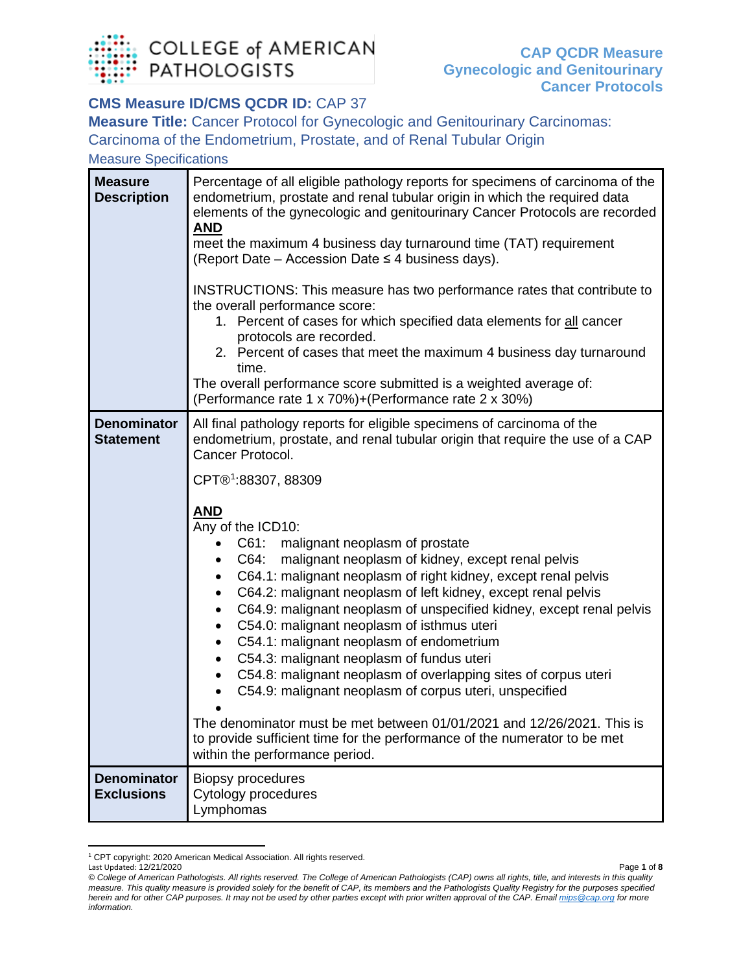

## **CMS Measure ID/CMS QCDR ID: CAP 37**

**Measure Title:** Cancer Protocol for Gynecologic and Genitourinary Carcinomas: Carcinoma of the Endometrium, Prostate, and of Renal Tubular Origin

Measure Specifications

| <b>Measure</b><br><b>Description</b>    | Percentage of all eligible pathology reports for specimens of carcinoma of the<br>endometrium, prostate and renal tubular origin in which the required data<br>elements of the gynecologic and genitourinary Cancer Protocols are recorded<br><b>AND</b><br>meet the maximum 4 business day turnaround time (TAT) requirement<br>(Report Date – Accession Date $\leq 4$ business days).<br>INSTRUCTIONS: This measure has two performance rates that contribute to<br>the overall performance score:<br>1. Percent of cases for which specified data elements for all cancer<br>protocols are recorded.<br>2. Percent of cases that meet the maximum 4 business day turnaround<br>time.<br>The overall performance score submitted is a weighted average of:<br>(Performance rate 1 x 70%)+(Performance rate 2 x 30%)                                                                                                                                                                                                                          |
|-----------------------------------------|------------------------------------------------------------------------------------------------------------------------------------------------------------------------------------------------------------------------------------------------------------------------------------------------------------------------------------------------------------------------------------------------------------------------------------------------------------------------------------------------------------------------------------------------------------------------------------------------------------------------------------------------------------------------------------------------------------------------------------------------------------------------------------------------------------------------------------------------------------------------------------------------------------------------------------------------------------------------------------------------------------------------------------------------|
| <b>Denominator</b><br><b>Statement</b>  | All final pathology reports for eligible specimens of carcinoma of the<br>endometrium, prostate, and renal tubular origin that require the use of a CAP<br>Cancer Protocol.<br>CPT®1:88307, 88309<br><b>AND</b><br>Any of the ICD10:<br>C61: malignant neoplasm of prostate<br>malignant neoplasm of kidney, except renal pelvis<br>C64:<br>C64.1: malignant neoplasm of right kidney, except renal pelvis<br>C64.2: malignant neoplasm of left kidney, except renal pelvis<br>C64.9: malignant neoplasm of unspecified kidney, except renal pelvis<br>$\bullet$<br>C54.0: malignant neoplasm of isthmus uteri<br>٠<br>C54.1: malignant neoplasm of endometrium<br>$\bullet$<br>C54.3: malignant neoplasm of fundus uteri<br>C54.8: malignant neoplasm of overlapping sites of corpus uteri<br>C54.9: malignant neoplasm of corpus uteri, unspecified<br>The denominator must be met between 01/01/2021 and 12/26/2021. This is<br>to provide sufficient time for the performance of the numerator to be met<br>within the performance period. |
| <b>Denominator</b><br><b>Exclusions</b> | <b>Biopsy procedures</b><br>Cytology procedures<br>Lymphomas                                                                                                                                                                                                                                                                                                                                                                                                                                                                                                                                                                                                                                                                                                                                                                                                                                                                                                                                                                                   |

<span id="page-0-0"></span><sup>1</sup> CPT copyright: 2020 American Medical Association. All rights reserved.

Last Updated: 12/21/2020 Page **1** of **8** *© College of American Pathologists. All rights reserved. The College of American Pathologists (CAP) owns all rights, title, and interests in this quality measure. This quality measure is provided solely for the benefit of CAP, its members and the Pathologists Quality Registry for the purposes specified herein and for other CAP purposes. It may not be used by other parties except with prior written approval of the CAP. Emai[l mips@cap.org](mailto:mips@cap.org) for more information.*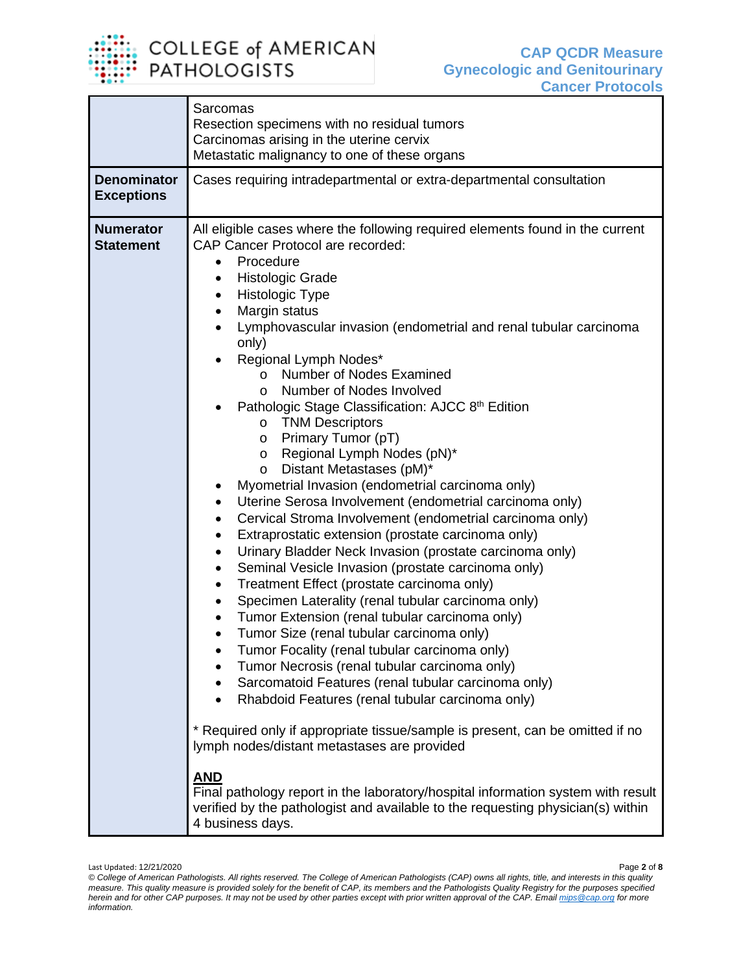

|                                         | <b>Sarcomas</b><br>Resection specimens with no residual tumors                                                                                                                                                                                                                                                                                                                                                                                                                                                                                                                                                                                                                                                                                                                                                                                                                                                                                                                                                                                                                                                                                                                                                                                                                                                                                                                                                                                                                                                                                                                                                                                                                                                                                                                                                                  |
|-----------------------------------------|---------------------------------------------------------------------------------------------------------------------------------------------------------------------------------------------------------------------------------------------------------------------------------------------------------------------------------------------------------------------------------------------------------------------------------------------------------------------------------------------------------------------------------------------------------------------------------------------------------------------------------------------------------------------------------------------------------------------------------------------------------------------------------------------------------------------------------------------------------------------------------------------------------------------------------------------------------------------------------------------------------------------------------------------------------------------------------------------------------------------------------------------------------------------------------------------------------------------------------------------------------------------------------------------------------------------------------------------------------------------------------------------------------------------------------------------------------------------------------------------------------------------------------------------------------------------------------------------------------------------------------------------------------------------------------------------------------------------------------------------------------------------------------------------------------------------------------|
|                                         | Carcinomas arising in the uterine cervix<br>Metastatic malignancy to one of these organs                                                                                                                                                                                                                                                                                                                                                                                                                                                                                                                                                                                                                                                                                                                                                                                                                                                                                                                                                                                                                                                                                                                                                                                                                                                                                                                                                                                                                                                                                                                                                                                                                                                                                                                                        |
| <b>Denominator</b><br><b>Exceptions</b> | Cases requiring intradepartmental or extra-departmental consultation                                                                                                                                                                                                                                                                                                                                                                                                                                                                                                                                                                                                                                                                                                                                                                                                                                                                                                                                                                                                                                                                                                                                                                                                                                                                                                                                                                                                                                                                                                                                                                                                                                                                                                                                                            |
| <b>Numerator</b><br><b>Statement</b>    | All eligible cases where the following required elements found in the current<br><b>CAP Cancer Protocol are recorded:</b><br>Procedure<br>$\bullet$<br><b>Histologic Grade</b><br>Histologic Type<br>٠<br>Margin status<br>٠<br>Lymphovascular invasion (endometrial and renal tubular carcinoma<br>only)<br>Regional Lymph Nodes*<br><b>Number of Nodes Examined</b><br>$\circ$<br>Number of Nodes Involved<br>$\circ$<br>Pathologic Stage Classification: AJCC 8 <sup>th</sup> Edition<br><b>TNM Descriptors</b><br>$\circ$<br>Primary Tumor (pT)<br>O<br>Regional Lymph Nodes (pN)*<br>O<br>Distant Metastases (pM)*<br>$\circ$<br>Myometrial Invasion (endometrial carcinoma only)<br>٠<br>Uterine Serosa Involvement (endometrial carcinoma only)<br>$\bullet$<br>Cervical Stroma Involvement (endometrial carcinoma only)<br>٠<br>Extraprostatic extension (prostate carcinoma only)<br>٠<br>Urinary Bladder Neck Invasion (prostate carcinoma only)<br>$\bullet$<br>Seminal Vesicle Invasion (prostate carcinoma only)<br>$\bullet$<br>Treatment Effect (prostate carcinoma only)<br>٠<br>Specimen Laterality (renal tubular carcinoma only)<br>٠<br>Tumor Extension (renal tubular carcinoma only)<br>٠<br>Tumor Size (renal tubular carcinoma only)<br>$\bullet$<br>Tumor Focality (renal tubular carcinoma only)<br>Tumor Necrosis (renal tubular carcinoma only)<br>Sarcomatoid Features (renal tubular carcinoma only)<br>Rhabdoid Features (renal tubular carcinoma only)<br>* Required only if appropriate tissue/sample is present, can be omitted if no<br>lymph nodes/distant metastases are provided<br><u>AND</u><br>Final pathology report in the laboratory/hospital information system with result<br>verified by the pathologist and available to the requesting physician(s) within<br>4 business days. |

Last Updated: 12/21/2020 Page **2** of **8** *© College of American Pathologists. All rights reserved. The College of American Pathologists (CAP) owns all rights, title, and interests in this quality measure. This quality measure is provided solely for the benefit of CAP, its members and the Pathologists Quality Registry for the purposes specified herein and for other CAP purposes. It may not be used by other parties except with prior written approval of the CAP. Emai[l mips@cap.org](mailto:mips@cap.org) for more information.*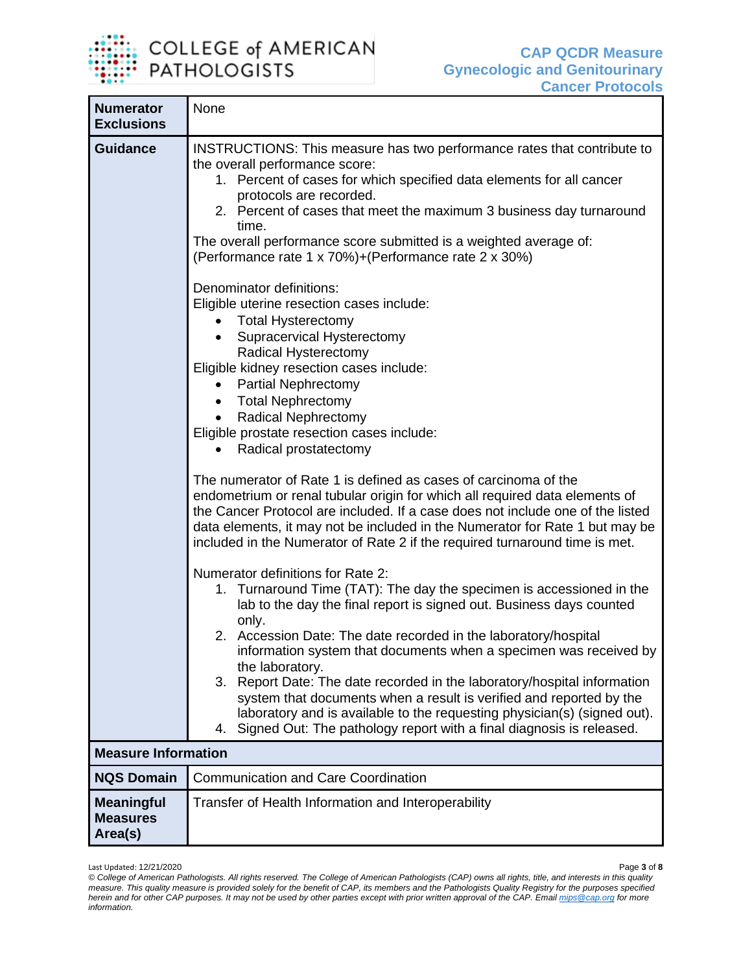

т

| <b>Numerator</b><br><b>Exclusions</b>           | None                                                                                                                                                                                                                                                                                                                                                                                                                                                                                                                                                                                                                                                               |  |
|-------------------------------------------------|--------------------------------------------------------------------------------------------------------------------------------------------------------------------------------------------------------------------------------------------------------------------------------------------------------------------------------------------------------------------------------------------------------------------------------------------------------------------------------------------------------------------------------------------------------------------------------------------------------------------------------------------------------------------|--|
| <b>Guidance</b>                                 | INSTRUCTIONS: This measure has two performance rates that contribute to<br>the overall performance score:<br>1. Percent of cases for which specified data elements for all cancer<br>protocols are recorded.<br>2. Percent of cases that meet the maximum 3 business day turnaround<br>time.<br>The overall performance score submitted is a weighted average of:<br>(Performance rate 1 x 70%)+(Performance rate 2 x 30%)                                                                                                                                                                                                                                         |  |
|                                                 | Denominator definitions:<br>Eligible uterine resection cases include:<br><b>Total Hysterectomy</b><br>Supracervical Hysterectomy<br>Radical Hysterectomy<br>Eligible kidney resection cases include:<br><b>Partial Nephrectomy</b><br><b>Total Nephrectomy</b><br><b>Radical Nephrectomy</b><br>$\bullet$<br>Eligible prostate resection cases include:<br>Radical prostatectomy                                                                                                                                                                                                                                                                                   |  |
|                                                 | The numerator of Rate 1 is defined as cases of carcinoma of the<br>endometrium or renal tubular origin for which all required data elements of<br>the Cancer Protocol are included. If a case does not include one of the listed<br>data elements, it may not be included in the Numerator for Rate 1 but may be<br>included in the Numerator of Rate 2 if the required turnaround time is met.                                                                                                                                                                                                                                                                    |  |
|                                                 | Numerator definitions for Rate 2:<br>1. Turnaround Time (TAT): The day the specimen is accessioned in the<br>lab to the day the final report is signed out. Business days counted<br>only.<br>2. Accession Date: The date recorded in the laboratory/hospital<br>information system that documents when a specimen was received by<br>the laboratory.<br>3. Report Date: The date recorded in the laboratory/hospital information<br>system that documents when a result is verified and reported by the<br>laboratory and is available to the requesting physician(s) (signed out).<br>Signed Out: The pathology report with a final diagnosis is released.<br>4. |  |
| <b>Measure Information</b>                      |                                                                                                                                                                                                                                                                                                                                                                                                                                                                                                                                                                                                                                                                    |  |
| <b>NQS Domain</b>                               | <b>Communication and Care Coordination</b>                                                                                                                                                                                                                                                                                                                                                                                                                                                                                                                                                                                                                         |  |
| <b>Meaningful</b><br><b>Measures</b><br>Area(s) | Transfer of Health Information and Interoperability                                                                                                                                                                                                                                                                                                                                                                                                                                                                                                                                                                                                                |  |

Last Updated: 12/21/2020 Page **3** of **8**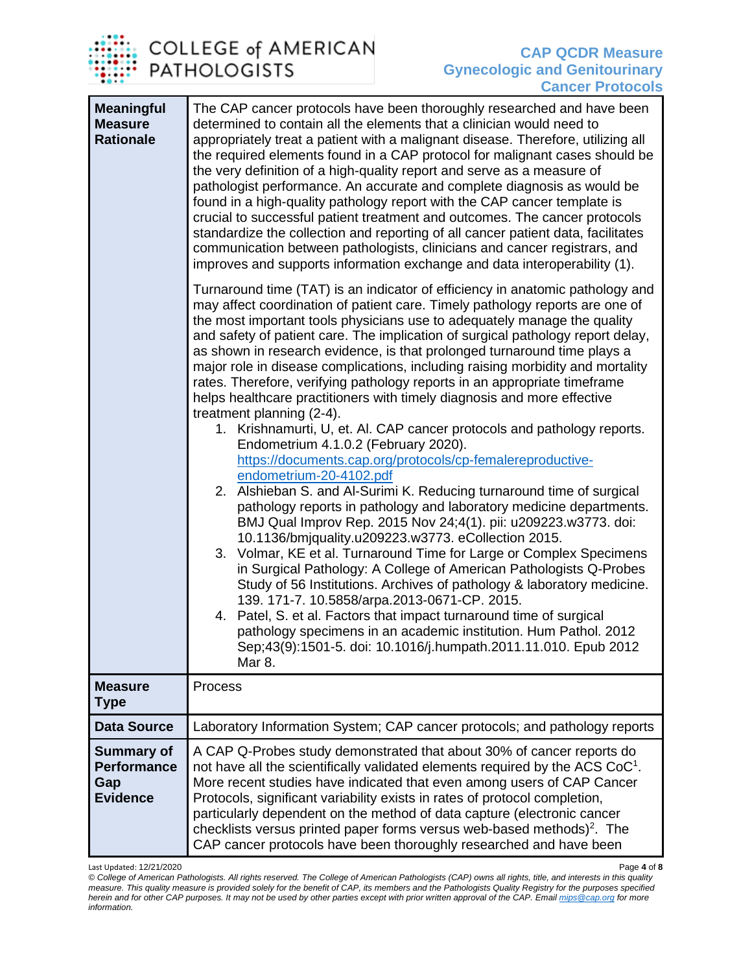

| <b>Meaningful</b><br><b>Measure</b><br><b>Rationale</b>           | The CAP cancer protocols have been thoroughly researched and have been<br>determined to contain all the elements that a clinician would need to<br>appropriately treat a patient with a malignant disease. Therefore, utilizing all<br>the required elements found in a CAP protocol for malignant cases should be<br>the very definition of a high-quality report and serve as a measure of<br>pathologist performance. An accurate and complete diagnosis as would be<br>found in a high-quality pathology report with the CAP cancer template is<br>crucial to successful patient treatment and outcomes. The cancer protocols<br>standardize the collection and reporting of all cancer patient data, facilitates<br>communication between pathologists, clinicians and cancer registrars, and<br>improves and supports information exchange and data interoperability (1). |
|-------------------------------------------------------------------|---------------------------------------------------------------------------------------------------------------------------------------------------------------------------------------------------------------------------------------------------------------------------------------------------------------------------------------------------------------------------------------------------------------------------------------------------------------------------------------------------------------------------------------------------------------------------------------------------------------------------------------------------------------------------------------------------------------------------------------------------------------------------------------------------------------------------------------------------------------------------------|
|                                                                   | Turnaround time (TAT) is an indicator of efficiency in anatomic pathology and<br>may affect coordination of patient care. Timely pathology reports are one of<br>the most important tools physicians use to adequately manage the quality<br>and safety of patient care. The implication of surgical pathology report delay,<br>as shown in research evidence, is that prolonged turnaround time plays a<br>major role in disease complications, including raising morbidity and mortality<br>rates. Therefore, verifying pathology reports in an appropriate timeframe<br>helps healthcare practitioners with timely diagnosis and more effective<br>treatment planning (2-4).<br>1. Krishnamurti, U, et. Al. CAP cancer protocols and pathology reports.<br>Endometrium 4.1.0.2 (February 2020).                                                                              |
|                                                                   | https://documents.cap.org/protocols/cp-femalereproductive-<br>endometrium-20-4102.pdf<br>2. Alshieban S. and Al-Surimi K. Reducing turnaround time of surgical<br>pathology reports in pathology and laboratory medicine departments.<br>BMJ Qual Improv Rep. 2015 Nov 24;4(1). pii: u209223.w3773. doi:<br>10.1136/bmjquality.u209223.w3773. eCollection 2015.<br>3. Volmar, KE et al. Turnaround Time for Large or Complex Specimens<br>in Surgical Pathology: A College of American Pathologists Q-Probes<br>Study of 56 Institutions. Archives of pathology & laboratory medicine.<br>139. 171-7. 10.5858/arpa.2013-0671-CP. 2015.<br>4. Patel, S. et al. Factors that impact turnaround time of surgical<br>pathology specimens in an academic institution. Hum Pathol. 2012<br>Sep;43(9):1501-5. doi: 10.1016/j.humpath.2011.11.010. Epub 2012<br>Mar 8.                  |
| <b>Measure</b><br><b>Type</b>                                     | Process                                                                                                                                                                                                                                                                                                                                                                                                                                                                                                                                                                                                                                                                                                                                                                                                                                                                         |
| <b>Data Source</b>                                                | Laboratory Information System; CAP cancer protocols; and pathology reports                                                                                                                                                                                                                                                                                                                                                                                                                                                                                                                                                                                                                                                                                                                                                                                                      |
| <b>Summary of</b><br><b>Performance</b><br>Gap<br><b>Evidence</b> | A CAP Q-Probes study demonstrated that about 30% of cancer reports do<br>not have all the scientifically validated elements required by the ACS $CoC1$ .<br>More recent studies have indicated that even among users of CAP Cancer<br>Protocols, significant variability exists in rates of protocol completion,<br>particularly dependent on the method of data capture (electronic cancer<br>checklists versus printed paper forms versus web-based methods) <sup>2</sup> . The<br>CAP cancer protocols have been thoroughly researched and have been                                                                                                                                                                                                                                                                                                                         |

Last Updated: 12/21/2020 Page **4** of **8** *© College of American Pathologists. All rights reserved. The College of American Pathologists (CAP) owns all rights, title, and interests in this quality measure. This quality measure is provided solely for the benefit of CAP, its members and the Pathologists Quality Registry for the purposes specified herein and for other CAP purposes. It may not be used by other parties except with prior written approval of the CAP. Emai[l mips@cap.org](mailto:mips@cap.org) for more information.*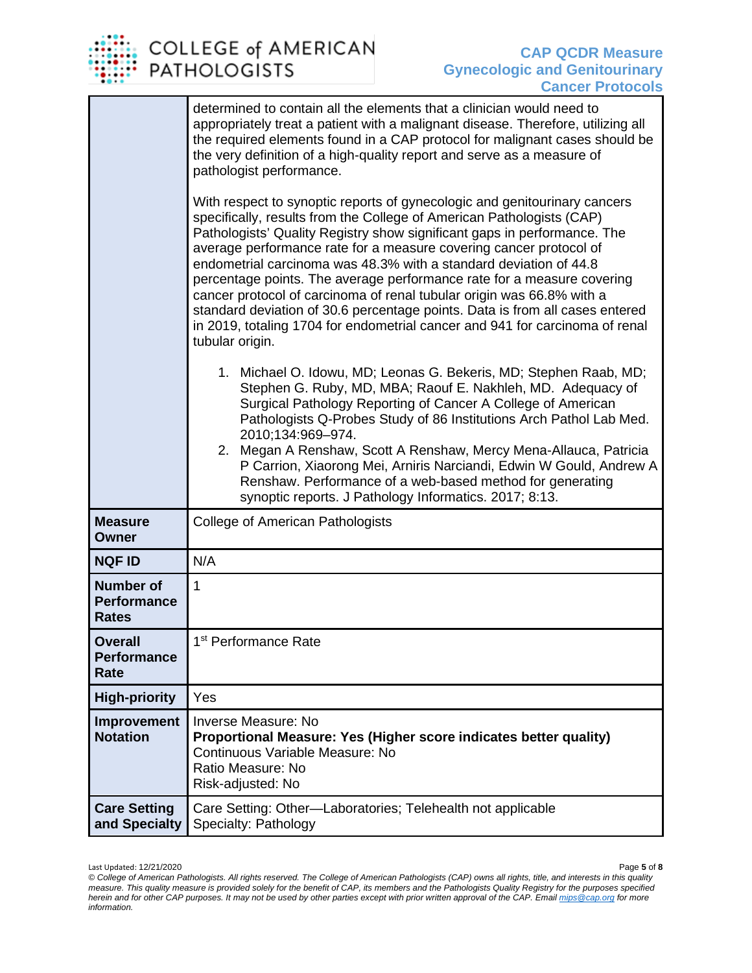

|                                                        | determined to contain all the elements that a clinician would need to<br>appropriately treat a patient with a malignant disease. Therefore, utilizing all<br>the required elements found in a CAP protocol for malignant cases should be<br>the very definition of a high-quality report and serve as a measure of<br>pathologist performance.<br>With respect to synoptic reports of gynecologic and genitourinary cancers<br>specifically, results from the College of American Pathologists (CAP)<br>Pathologists' Quality Registry show significant gaps in performance. The<br>average performance rate for a measure covering cancer protocol of<br>endometrial carcinoma was 48.3% with a standard deviation of 44.8<br>percentage points. The average performance rate for a measure covering<br>cancer protocol of carcinoma of renal tubular origin was 66.8% with a<br>standard deviation of 30.6 percentage points. Data is from all cases entered<br>in 2019, totaling 1704 for endometrial cancer and 941 for carcinoma of renal<br>tubular origin.<br>1. Michael O. Idowu, MD; Leonas G. Bekeris, MD; Stephen Raab, MD;<br>Stephen G. Ruby, MD, MBA; Raouf E. Nakhleh, MD. Adequacy of<br>Surgical Pathology Reporting of Cancer A College of American<br>Pathologists Q-Probes Study of 86 Institutions Arch Pathol Lab Med.<br>2010;134:969-974.<br>2. Megan A Renshaw, Scott A Renshaw, Mercy Mena-Allauca, Patricia<br>P Carrion, Xiaorong Mei, Arniris Narciandi, Edwin W Gould, Andrew A<br>Renshaw. Performance of a web-based method for generating<br>synoptic reports. J Pathology Informatics. 2017; 8:13. |
|--------------------------------------------------------|--------------------------------------------------------------------------------------------------------------------------------------------------------------------------------------------------------------------------------------------------------------------------------------------------------------------------------------------------------------------------------------------------------------------------------------------------------------------------------------------------------------------------------------------------------------------------------------------------------------------------------------------------------------------------------------------------------------------------------------------------------------------------------------------------------------------------------------------------------------------------------------------------------------------------------------------------------------------------------------------------------------------------------------------------------------------------------------------------------------------------------------------------------------------------------------------------------------------------------------------------------------------------------------------------------------------------------------------------------------------------------------------------------------------------------------------------------------------------------------------------------------------------------------------------------------------------------------------------------------------------------------|
| <b>Measure</b><br>Owner                                | <b>College of American Pathologists</b>                                                                                                                                                                                                                                                                                                                                                                                                                                                                                                                                                                                                                                                                                                                                                                                                                                                                                                                                                                                                                                                                                                                                                                                                                                                                                                                                                                                                                                                                                                                                                                                              |
| <b>NQF ID</b>                                          | N/A                                                                                                                                                                                                                                                                                                                                                                                                                                                                                                                                                                                                                                                                                                                                                                                                                                                                                                                                                                                                                                                                                                                                                                                                                                                                                                                                                                                                                                                                                                                                                                                                                                  |
| <b>Number of</b><br><b>Performance</b><br><b>Rates</b> | $\mathbf{1}$                                                                                                                                                                                                                                                                                                                                                                                                                                                                                                                                                                                                                                                                                                                                                                                                                                                                                                                                                                                                                                                                                                                                                                                                                                                                                                                                                                                                                                                                                                                                                                                                                         |
| <b>Overall</b><br><b>Performance</b><br>Rate           | 1 <sup>st</sup> Performance Rate                                                                                                                                                                                                                                                                                                                                                                                                                                                                                                                                                                                                                                                                                                                                                                                                                                                                                                                                                                                                                                                                                                                                                                                                                                                                                                                                                                                                                                                                                                                                                                                                     |
| <b>High-priority</b>                                   | Yes                                                                                                                                                                                                                                                                                                                                                                                                                                                                                                                                                                                                                                                                                                                                                                                                                                                                                                                                                                                                                                                                                                                                                                                                                                                                                                                                                                                                                                                                                                                                                                                                                                  |
| Improvement<br><b>Notation</b>                         | <b>Inverse Measure: No</b><br>Proportional Measure: Yes (Higher score indicates better quality)<br>Continuous Variable Measure: No<br>Ratio Measure: No<br>Risk-adjusted: No                                                                                                                                                                                                                                                                                                                                                                                                                                                                                                                                                                                                                                                                                                                                                                                                                                                                                                                                                                                                                                                                                                                                                                                                                                                                                                                                                                                                                                                         |
| <b>Care Setting</b><br>and Specialty                   | Care Setting: Other-Laboratories; Telehealth not applicable<br>Specialty: Pathology                                                                                                                                                                                                                                                                                                                                                                                                                                                                                                                                                                                                                                                                                                                                                                                                                                                                                                                                                                                                                                                                                                                                                                                                                                                                                                                                                                                                                                                                                                                                                  |

*<sup>©</sup> College of American Pathologists. All rights reserved. The College of American Pathologists (CAP) owns all rights, title, and interests in this quality measure. This quality measure is provided solely for the benefit of CAP, its members and the Pathologists Quality Registry for the purposes specified herein and for other CAP purposes. It may not be used by other parties except with prior written approval of the CAP. Emai[l mips@cap.org](mailto:mips@cap.org) for more information.*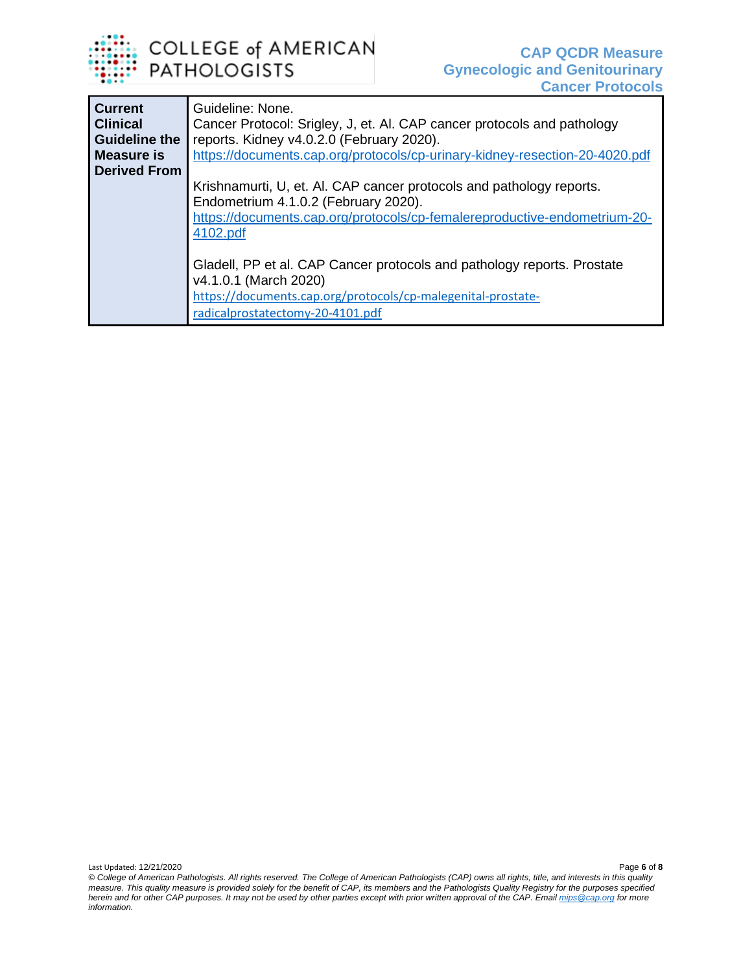

| <b>Current</b><br><b>Clinical</b><br><b>Guideline the</b> | Guideline: None.<br>Cancer Protocol: Srigley, J, et. Al. CAP cancer protocols and pathology<br>reports. Kidney v4.0.2.0 (February 2020).                                                              |
|-----------------------------------------------------------|-------------------------------------------------------------------------------------------------------------------------------------------------------------------------------------------------------|
| <b>Measure is</b>                                         | https://documents.cap.org/protocols/cp-urinary-kidney-resection-20-4020.pdf                                                                                                                           |
| <b>Derived From</b>                                       |                                                                                                                                                                                                       |
|                                                           | Krishnamurti, U, et. Al. CAP cancer protocols and pathology reports.<br>Endometrium 4.1.0.2 (February 2020).<br>https://documents.cap.org/protocols/cp-femalereproductive-endometrium-20-<br>4102.pdf |
|                                                           | Gladell, PP et al. CAP Cancer protocols and pathology reports. Prostate<br>v4.1.0.1 (March 2020)<br>https://documents.cap.org/protocols/cp-malegenital-prostate-<br>radicalprostatectomy-20-4101.pdf  |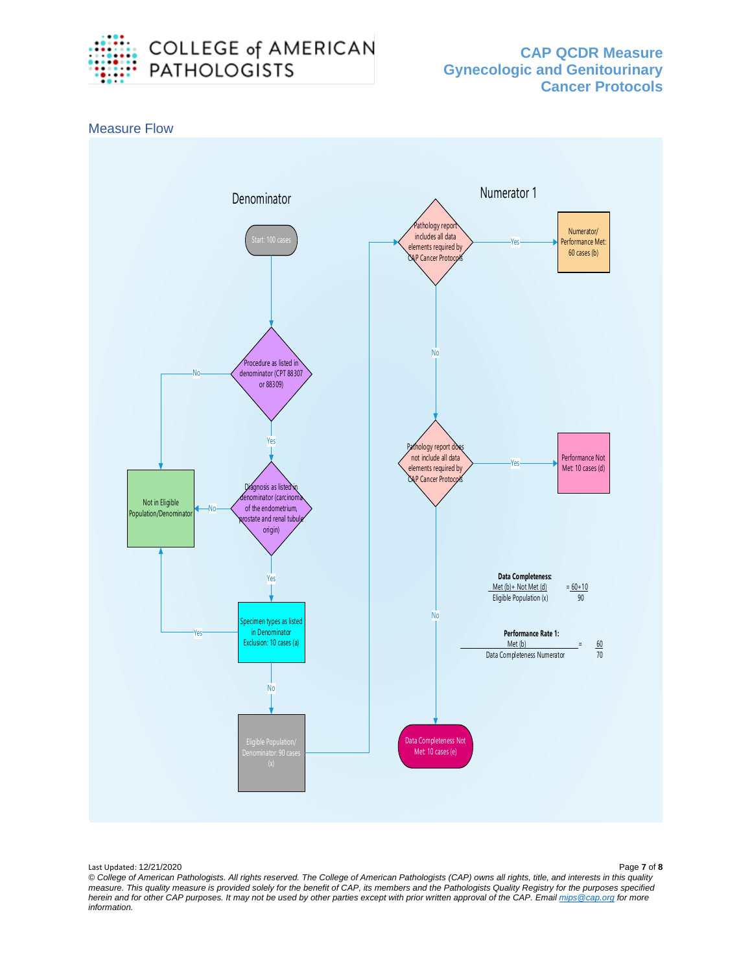



Last Updated: 12/21/2020 Page **7** of **8**